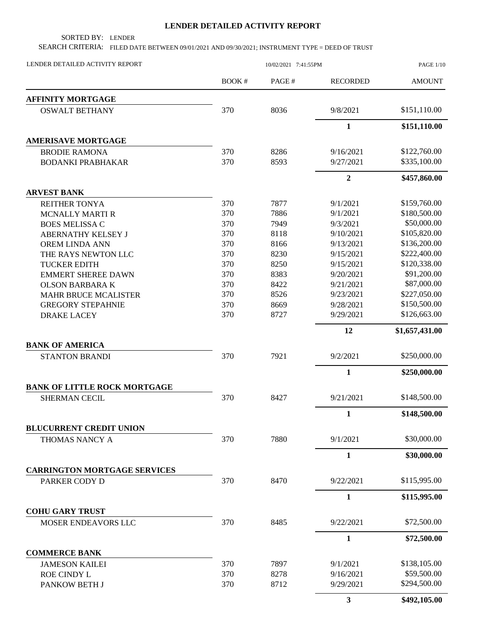## **LENDER DETAILED ACTIVITY REPORT**

SORTED BY: LENDER

SEARCH CRITERIA: FILED DATE BETWEEN 09/01/2021 AND 09/30/2021; INSTRUMENT TYPE = DEED OF TRUST

| LENDER DETAILED ACTIVITY REPORT     | 10/02/2021 7:41:55PM |       |                 | <b>PAGE 1/10</b> |  |
|-------------------------------------|----------------------|-------|-----------------|------------------|--|
|                                     | BOOK#                | PAGE# | <b>RECORDED</b> | <b>AMOUNT</b>    |  |
| <b>AFFINITY MORTGAGE</b>            |                      |       |                 |                  |  |
| <b>OSWALT BETHANY</b>               | 370                  | 8036  | 9/8/2021        | \$151,110.00     |  |
|                                     |                      |       | $\mathbf{1}$    | \$151,110.00     |  |
| <b>AMERISAVE MORTGAGE</b>           |                      |       |                 |                  |  |
| <b>BRODIE RAMONA</b>                | 370                  | 8286  | 9/16/2021       | \$122,760.00     |  |
| <b>BODANKI PRABHAKAR</b>            | 370                  | 8593  | 9/27/2021       | \$335,100.00     |  |
|                                     |                      |       | $\overline{2}$  | \$457,860.00     |  |
| <b>ARVEST BANK</b>                  |                      |       |                 |                  |  |
| <b>REITHER TONYA</b>                | 370                  | 7877  | 9/1/2021        | \$159,760.00     |  |
| <b>MCNALLY MARTI R</b>              | 370                  | 7886  | 9/1/2021        | \$180,500.00     |  |
| <b>BOES MELISSA C</b>               | 370                  | 7949  | 9/3/2021        | \$50,000.00      |  |
| ABERNATHY KELSEY J                  | 370                  | 8118  | 9/10/2021       | \$105,820.00     |  |
| OREM LINDA ANN                      | 370                  | 8166  | 9/13/2021       | \$136,200.00     |  |
| THE RAYS NEWTON LLC                 | 370                  | 8230  | 9/15/2021       | \$222,400.00     |  |
| <b>TUCKER EDITH</b>                 | 370                  | 8250  | 9/15/2021       | \$120,338.00     |  |
| <b>EMMERT SHEREE DAWN</b>           | 370                  | 8383  | 9/20/2021       | \$91,200.00      |  |
| <b>OLSON BARBARA K</b>              | 370                  | 8422  | 9/21/2021       | \$87,000.00      |  |
| <b>MAHR BRUCE MCALISTER</b>         | 370                  | 8526  | 9/23/2021       | \$227,050.00     |  |
| <b>GREGORY STEPAHNIE</b>            | 370                  | 8669  | 9/28/2021       | \$150,500.00     |  |
| <b>DRAKE LACEY</b>                  | 370                  | 8727  | 9/29/2021       | \$126,663.00     |  |
|                                     |                      |       | 12              | \$1,657,431.00   |  |
| <b>BANK OF AMERICA</b>              |                      |       |                 |                  |  |
| <b>STANTON BRANDI</b>               | 370                  | 7921  | 9/2/2021        | \$250,000.00     |  |
|                                     |                      |       | $\mathbf{1}$    | \$250,000.00     |  |
| <b>BANK OF LITTLE ROCK MORTGAGE</b> |                      |       |                 |                  |  |
| <b>SHERMAN CECIL</b>                | 370                  | 8427  | 9/21/2021       | \$148,500.00     |  |
|                                     |                      |       | $\mathbf{1}$    | \$148,500.00     |  |
| <b>BLUCURRENT CREDIT UNION</b>      |                      |       |                 |                  |  |
| THOMAS NANCY A                      | 370                  | 7880  | 9/1/2021        | \$30,000.00      |  |
|                                     |                      |       | 1               | \$30,000.00      |  |
| <b>CARRINGTON MORTGAGE SERVICES</b> |                      |       |                 | \$115,995.00     |  |
| PARKER CODY D                       | 370                  | 8470  | 9/22/2021       |                  |  |
|                                     |                      |       | $\mathbf{1}$    | \$115,995.00     |  |
| <b>COHU GARY TRUST</b>              |                      |       |                 |                  |  |
| MOSER ENDEAVORS LLC                 | 370                  | 8485  | 9/22/2021       | \$72,500.00      |  |
|                                     |                      |       | $\mathbf{1}$    | \$72,500.00      |  |
| <b>COMMERCE BANK</b>                |                      |       |                 |                  |  |
| <b>JAMESON KAILEI</b>               | 370                  | 7897  | 9/1/2021        | \$138,105.00     |  |
| <b>ROE CINDY L</b>                  | 370                  | 8278  | 9/16/2021       | \$59,500.00      |  |
| PANKOW BETH J                       | 370                  | 8712  | 9/29/2021       | \$294,500.00     |  |
|                                     |                      |       | $\mathbf{3}$    | \$492,105.00     |  |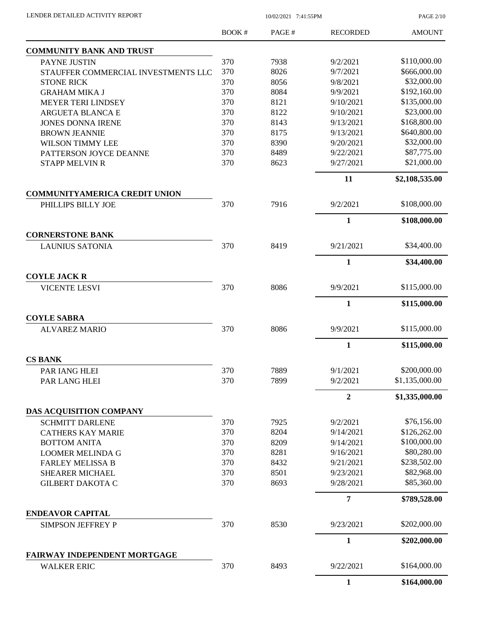PAGE 2/10

|                                                     | <b>BOOK#</b> | PAGE# | <b>RECORDED</b>  | <b>AMOUNT</b>  |
|-----------------------------------------------------|--------------|-------|------------------|----------------|
| <b>COMMUNITY BANK AND TRUST</b>                     |              |       |                  |                |
| PAYNE JUSTIN                                        | 370          | 7938  | 9/2/2021         | \$110,000.00   |
| STAUFFER COMMERCIAL INVESTMENTS LLC                 | 370          | 8026  | 9/7/2021         | \$666,000.00   |
| <b>STONE RICK</b>                                   | 370          | 8056  | 9/8/2021         | \$32,000.00    |
| <b>GRAHAM MIKA J</b>                                | 370          | 8084  | 9/9/2021         | \$192,160.00   |
| <b>MEYER TERI LINDSEY</b>                           | 370          | 8121  | 9/10/2021        | \$135,000.00   |
| ARGUETA BLANCA E                                    | 370          | 8122  | 9/10/2021        | \$23,000.00    |
| <b>JONES DONNA IRENE</b>                            | 370          | 8143  | 9/13/2021        | \$168,800.00   |
| <b>BROWN JEANNIE</b>                                | 370          | 8175  | 9/13/2021        | \$640,800.00   |
| <b>WILSON TIMMY LEE</b>                             | 370          | 8390  | 9/20/2021        | \$32,000.00    |
| PATTERSON JOYCE DEANNE                              | 370          | 8489  | 9/22/2021        | \$87,775.00    |
| <b>STAPP MELVIN R</b>                               | 370          | 8623  | 9/27/2021        | \$21,000.00    |
|                                                     |              |       | 11               | \$2,108,535.00 |
| <b>COMMUNITYAMERICA CREDIT UNION</b>                |              |       |                  |                |
| PHILLIPS BILLY JOE                                  | 370          | 7916  | 9/2/2021         | \$108,000.00   |
| <b>CORNERSTONE BANK</b>                             |              |       | $\mathbf{1}$     | \$108,000.00   |
| <b>LAUNIUS SATONIA</b>                              | 370          | 8419  | 9/21/2021        | \$34,400.00    |
|                                                     |              |       | $\mathbf{1}$     | \$34,400.00    |
| <b>COYLE JACK R</b>                                 |              |       |                  |                |
| <b>VICENTE LESVI</b>                                | 370          | 8086  | 9/9/2021         | \$115,000.00   |
|                                                     |              |       | $\mathbf{1}$     | \$115,000.00   |
| <b>COYLE SABRA</b>                                  |              |       |                  |                |
| <b>ALVAREZ MARIO</b>                                | 370          | 8086  | 9/9/2021         | \$115,000.00   |
|                                                     |              |       | $\mathbf{1}$     | \$115,000.00   |
| <b>CS BANK</b>                                      |              |       |                  |                |
| PAR IANG HLEI                                       | 370          | 7889  | 9/1/2021         | \$200,000.00   |
| PAR LANG HLEI                                       | 370          | 7899  | 9/2/2021         | \$1,135,000.00 |
|                                                     |              |       | $\boldsymbol{2}$ | \$1,335,000.00 |
| DAS ACQUISITION COMPANY                             |              |       |                  |                |
| <b>SCHMITT DARLENE</b>                              | 370          | 7925  | 9/2/2021         | \$76,156.00    |
| <b>CATHERS KAY MARIE</b>                            | 370          | 8204  | 9/14/2021        | \$126,262.00   |
| <b>BOTTOM ANITA</b>                                 | 370          | 8209  | 9/14/2021        | \$100,000.00   |
| <b>LOOMER MELINDA G</b>                             | 370          | 8281  | 9/16/2021        | \$80,280.00    |
| <b>FARLEY MELISSA B</b>                             | 370          | 8432  | 9/21/2021        | \$238,502.00   |
| <b>SHEARER MICHAEL</b>                              | 370          | 8501  | 9/23/2021        | \$82,968.00    |
| <b>GILBERT DAKOTA C</b>                             | 370          | 8693  | 9/28/2021        | \$85,360.00    |
|                                                     |              |       | 7                | \$789,528.00   |
| <b>ENDEAVOR CAPITAL</b><br><b>SIMPSON JEFFREY P</b> | 370          | 8530  | 9/23/2021        | \$202,000.00   |
|                                                     |              |       | 1                | \$202,000.00   |
| <b>FAIRWAY INDEPENDENT MORTGAGE</b>                 |              |       |                  |                |
| <b>WALKER ERIC</b>                                  | 370          | 8493  | 9/22/2021        | \$164,000.00   |
|                                                     |              |       | $\mathbf{1}$     | \$164,000.00   |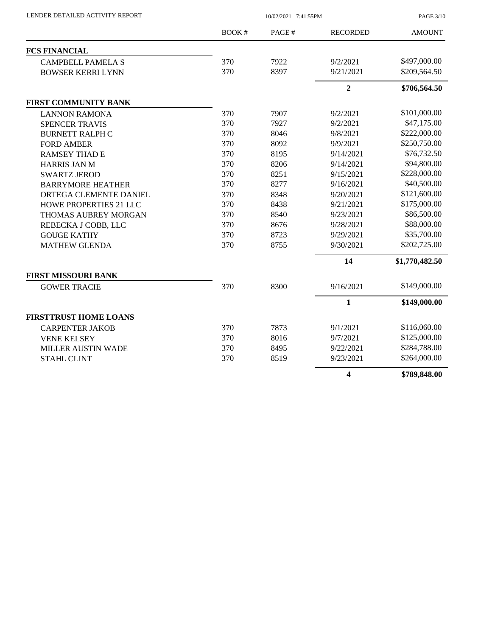| LENDER DETAILED ACTIVITY REPORT | 10/02/2021 7:41:55PM |       |                         | <b>PAGE 3/10</b> |
|---------------------------------|----------------------|-------|-------------------------|------------------|
|                                 | BOOK #               | PAGE# | <b>RECORDED</b>         | <b>AMOUNT</b>    |
| <b>FCS FINANCIAL</b>            |                      |       |                         |                  |
| <b>CAMPBELL PAMELA S</b>        | 370                  | 7922  | 9/2/2021                | \$497,000.00     |
| <b>BOWSER KERRI LYNN</b>        | 370                  | 8397  | 9/21/2021               | \$209,564.50     |
|                                 |                      |       | $\overline{2}$          | \$706,564.50     |
| <b>FIRST COMMUNITY BANK</b>     |                      |       |                         |                  |
| <b>LANNON RAMONA</b>            | 370                  | 7907  | 9/2/2021                | \$101,000.00     |
| <b>SPENCER TRAVIS</b>           | 370                  | 7927  | 9/2/2021                | \$47,175.00      |
| <b>BURNETT RALPH C</b>          | 370                  | 8046  | 9/8/2021                | \$222,000.00     |
| <b>FORD AMBER</b>               | 370                  | 8092  | 9/9/2021                | \$250,750.00     |
| <b>RAMSEY THAD E</b>            | 370                  | 8195  | 9/14/2021               | \$76,732.50      |
| <b>HARRIS JAN M</b>             | 370                  | 8206  | 9/14/2021               | \$94,800.00      |
| <b>SWARTZ JEROD</b>             | 370                  | 8251  | 9/15/2021               | \$228,000.00     |
| <b>BARRYMORE HEATHER</b>        | 370                  | 8277  | 9/16/2021               | \$40,500.00      |
| ORTEGA CLEMENTE DANIEL          | 370                  | 8348  | 9/20/2021               | \$121,600.00     |
| HOWE PROPERTIES 21 LLC          | 370                  | 8438  | 9/21/2021               | \$175,000.00     |
| THOMAS AUBREY MORGAN            | 370                  | 8540  | 9/23/2021               | \$86,500.00      |
| REBECKA J COBB, LLC             | 370                  | 8676  | 9/28/2021               | \$88,000.00      |
| <b>GOUGE KATHY</b>              | 370                  | 8723  | 9/29/2021               | \$35,700.00      |
| <b>MATHEW GLENDA</b>            | 370                  | 8755  | 9/30/2021               | \$202,725.00     |
|                                 |                      |       | 14                      | \$1,770,482.50   |
| <b>FIRST MISSOURI BANK</b>      |                      |       |                         |                  |
| <b>GOWER TRACIE</b>             | 370                  | 8300  | 9/16/2021               | \$149,000.00     |
|                                 |                      |       | $\mathbf{1}$            | \$149,000.00     |
| <b>FIRSTTRUST HOME LOANS</b>    |                      |       |                         |                  |
| <b>CARPENTER JAKOB</b>          | 370                  | 7873  | 9/1/2021                | \$116,060.00     |
| <b>VENE KELSEY</b>              | 370                  | 8016  | 9/7/2021                | \$125,000.00     |
| MILLER AUSTIN WADE              | 370                  | 8495  | 9/22/2021               | \$284,788.00     |
| <b>STAHL CLINT</b>              | 370                  | 8519  | 9/23/2021               | \$264,000.00     |
|                                 |                      |       | $\overline{\mathbf{4}}$ | \$789,848.00     |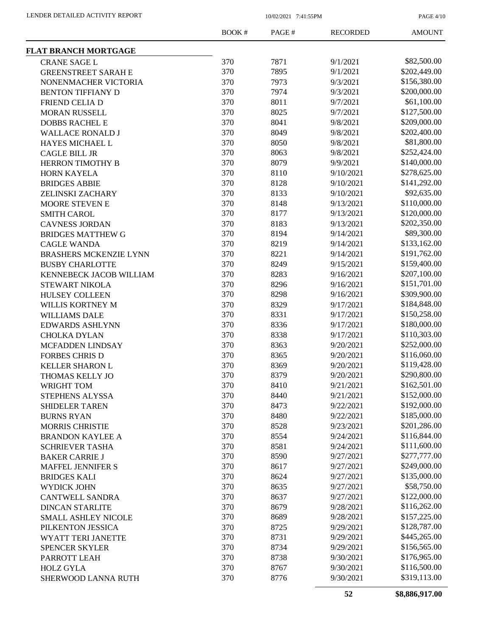PAGE 4/10

|                               | <b>BOOK#</b> | PAGE# | <b>RECORDED</b> | <b>AMOUNT</b> |
|-------------------------------|--------------|-------|-----------------|---------------|
| <b>FLAT BRANCH MORTGAGE</b>   |              |       |                 |               |
| <b>CRANE SAGE L</b>           | 370          | 7871  | 9/1/2021        | \$82,500.00   |
| <b>GREENSTREET SARAH E</b>    | 370          | 7895  | 9/1/2021        | \$202,449.00  |
| NONENMACHER VICTORIA          | 370          | 7973  | 9/3/2021        | \$156,380.00  |
| <b>BENTON TIFFIANY D</b>      | 370          | 7974  | 9/3/2021        | \$200,000.00  |
| FRIEND CELIA D                | 370          | 8011  | 9/7/2021        | \$61,100.00   |
| <b>MORAN RUSSELL</b>          | 370          | 8025  | 9/7/2021        | \$127,500.00  |
| <b>DOBBS RACHEL E</b>         | 370          | 8041  | 9/8/2021        | \$209,000.00  |
| <b>WALLACE RONALD J</b>       | 370          | 8049  | 9/8/2021        | \$202,400.00  |
| HAYES MICHAEL L               | 370          | 8050  | 9/8/2021        | \$81,800.00   |
| <b>CAGLE BILL JR</b>          | 370          | 8063  | 9/8/2021        | \$252,424.00  |
| HERRON TIMOTHY B              | 370          | 8079  | 9/9/2021        | \$140,000.00  |
| HORN KAYELA                   | 370          | 8110  | 9/10/2021       | \$278,625.00  |
| <b>BRIDGES ABBIE</b>          | 370          | 8128  | 9/10/2021       | \$141,292.00  |
| ZELINSKI ZACHARY              | 370          | 8133  | 9/10/2021       | \$92,635.00   |
| MOORE STEVEN E                | 370          | 8148  | 9/13/2021       | \$110,000.00  |
| <b>SMITH CAROL</b>            | 370          | 8177  | 9/13/2021       | \$120,000.00  |
| <b>CAVNESS JORDAN</b>         | 370          | 8183  | 9/13/2021       | \$202,350.00  |
| <b>BRIDGES MATTHEW G</b>      | 370          | 8194  | 9/14/2021       | \$89,300.00   |
| <b>CAGLE WANDA</b>            | 370          | 8219  | 9/14/2021       | \$133,162.00  |
| <b>BRASHERS MCKENZIE LYNN</b> | 370          | 8221  | 9/14/2021       | \$191,762.00  |
| <b>BUSBY CHARLOTTE</b>        | 370          | 8249  | 9/15/2021       | \$159,400.00  |
| KENNEBECK JACOB WILLIAM       | 370          | 8283  | 9/16/2021       | \$207,100.00  |
| STEWART NIKOLA                | 370          | 8296  | 9/16/2021       | \$151,701.00  |
| <b>HULSEY COLLEEN</b>         | 370          | 8298  | 9/16/2021       | \$309,900.00  |
| WILLIS KORTNEY M              | 370          | 8329  | 9/17/2021       | \$184,848.00  |
| <b>WILLIAMS DALE</b>          | 370          | 8331  | 9/17/2021       | \$150,258.00  |
| <b>EDWARDS ASHLYNN</b>        | 370          | 8336  | 9/17/2021       | \$180,000.00  |
| <b>CHOLKA DYLAN</b>           | 370          | 8338  | 9/17/2021       | \$110,303.00  |
| MCFADDEN LINDSAY              | 370          | 8363  | 9/20/2021       | \$252,000.00  |
| <b>FORBES CHRIS D</b>         | 370          | 8365  | 9/20/2021       | \$116,060.00  |
|                               | 370          | 8369  | 9/20/2021       | \$119,428.00  |
| <b>KELLER SHARON L</b>        | 370          | 8379  | 9/20/2021       | \$290,800.00  |
| THOMAS KELLY JO               | 370          |       |                 | \$162,501.00  |
| WRIGHT TOM                    |              | 8410  | 9/21/2021       | \$152,000.00  |
| STEPHENS ALYSSA               | 370          | 8440  | 9/21/2021       | \$192,000.00  |
| <b>SHIDELER TAREN</b>         | 370          | 8473  | 9/22/2021       | \$185,000.00  |
| <b>BURNS RYAN</b>             | 370          | 8480  | 9/22/2021       | \$201,286.00  |
| <b>MORRIS CHRISTIE</b>        | 370          | 8528  | 9/23/2021       |               |
| <b>BRANDON KAYLEE A</b>       | 370          | 8554  | 9/24/2021       | \$116,844.00  |
| <b>SCHRIEVER TASHA</b>        | 370          | 8581  | 9/24/2021       | \$111,600.00  |
| <b>BAKER CARRIE J</b>         | 370          | 8590  | 9/27/2021       | \$277,777.00  |
| MAFFEL JENNIFER S             | 370          | 8617  | 9/27/2021       | \$249,000.00  |
| <b>BRIDGES KALI</b>           | 370          | 8624  | 9/27/2021       | \$135,000.00  |
| WYDICK JOHN                   | 370          | 8635  | 9/27/2021       | \$58,750.00   |
| <b>CANTWELL SANDRA</b>        | 370          | 8637  | 9/27/2021       | \$122,000.00  |
| <b>DINCAN STARLITE</b>        | 370          | 8679  | 9/28/2021       | \$116,262.00  |
| <b>SMALL ASHLEY NICOLE</b>    | 370          | 8689  | 9/28/2021       | \$157,225.00  |
| PILKENTON JESSICA             | 370          | 8725  | 9/29/2021       | \$128,787.00  |
| WYATT TERI JANETTE            | 370          | 8731  | 9/29/2021       | \$445,265.00  |
| <b>SPENCER SKYLER</b>         | 370          | 8734  | 9/29/2021       | \$156,565.00  |
| PARROTT LEAH                  | 370          | 8738  | 9/30/2021       | \$176,965.00  |
| <b>HOLZ GYLA</b>              | 370          | 8767  | 9/30/2021       | \$116,500.00  |
| SHERWOOD LANNA RUTH           | 370          | 8776  | 9/30/2021       | \$319,113.00  |
|                               |              |       |                 |               |

**52 \$8,886,917.00**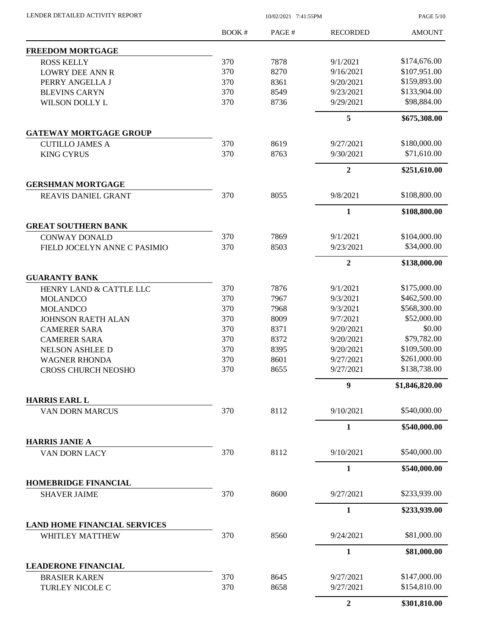BOOK # PAGE # AMOUNT RECORDED **FREEDOM MORTGAGE** ROSS KELLY 370 7878 9/1/2021 \$174,676.00 LOWRY DEE ANN R 370 8270 9/16/2021 \$107,951.00 PERRY ANGELLA J 370 8361 9/20/2021 \$159,893.00 BLEVINS CARYN 370 8549 9/23/2021 \$133,904.00 WILSON DOLLY L 370 8736 9/29/2021 \$98,884.00 **5 \$675,308.00 GATEWAY MORTGAGE GROUP** CUTILLO JAMES A 370 8619 9/27/2021 \$180,000.00 KING CYRUS 370 8763 9/30/2021 \$71,610.00 **2 \$251,610.00 GERSHMAN MORTGAGE** REAVIS DANIEL GRANT 370 8055 9/8/2021 \$108,800.00 **1 \$108,800.00 GREAT SOUTHERN BANK** CONWAY DONALD 370 7869 9/1/2021 \$104,000.00 FIELD JOCELYN ANNE C PASIMIO 370 8503 9/23/2021 \$34,000.00 **2 \$138,000.00 GUARANTY BANK** HENRY LAND & CATTLE LLC 370 7876 9/1/2021 \$175,000.00 MOLANDCO 370 7967 9/3/2021 \$462,500.00 MOLANDCO 370 7968 9/3/2021 \$568,300.00 JOHNSON RAETH ALAN 370 8009 9/7/2021 \$52,000.00 CAMERER SARA 370 8371 9/20/2021 \$0.00 CAMERER SARA 370 8372 9/20/2021 \$79,782.00 NELSON ASHLEE D 370 8395 9/20/2021 \$109,500.00 WAGNER RHONDA 370 8601 9/27/2021 \$261,000.00 CROSS CHURCH NEOSHO 370 8655 9/27/2021 \$138,738.00 **9 \$1,846,820.00 HARRIS EARL L** VAN DORN MARCUS 370 8112 9/10/2021 \$540,000.00 **1 \$540,000.00 HARRIS JANIE A** VAN DORN LACY 370 8112 9/10/2021 \$540,000.00 **1 \$540,000.00 HOMEBRIDGE FINANCIAL** SHAVER JAIME 370 8600 9/27/2021 \$233,939.00 **1 \$233,939.00 LAND HOME FINANCIAL SERVICES** WHITLEY MATTHEW 370 8560 9/24/2021 \$81,000.00 **1 \$81,000.00 LEADERONE FINANCIAL** BRASIER KAREN 370 8645 9/27/2021 \$147,000.00 TURLEY NICOLE C 370 8658 9/27/2021 \$154,810.00

LENDER DETAILED ACTIVITY REPORT 10/02/2021 7:41:55PM

PAGE 5/10

**2 \$301,810.00**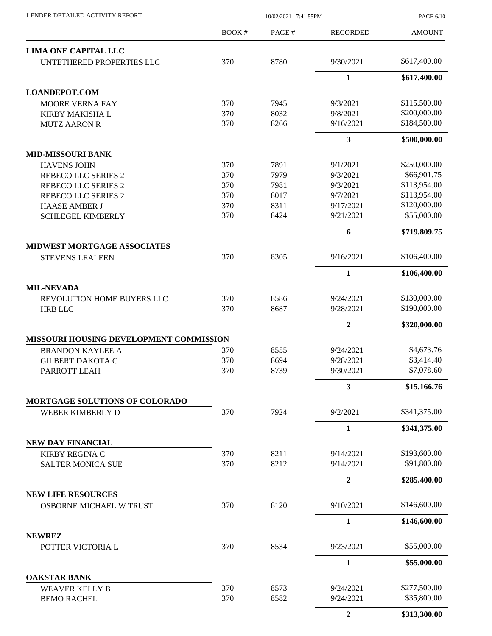| LENDER DETAILED ACTIVITY REPORT                              | 10/02/2021 7:41:55PM |              |                        | PAGE 6/10                   |  |
|--------------------------------------------------------------|----------------------|--------------|------------------------|-----------------------------|--|
|                                                              | BOOK #               | PAGE#        | <b>RECORDED</b>        | <b>AMOUNT</b>               |  |
| LIMA ONE CAPITAL LLC                                         |                      |              |                        |                             |  |
| UNTETHERED PROPERTIES LLC                                    | 370                  | 8780         | 9/30/2021              | \$617,400.00                |  |
|                                                              |                      |              | $\mathbf{1}$           | \$617,400.00                |  |
| <b>LOANDEPOT.COM</b>                                         |                      |              |                        |                             |  |
| <b>MOORE VERNA FAY</b>                                       | 370                  | 7945         | 9/3/2021               | \$115,500.00                |  |
| <b>KIRBY MAKISHA L</b>                                       | 370                  | 8032         | 9/8/2021               | \$200,000.00                |  |
| <b>MUTZ AARON R</b>                                          | 370                  | 8266         | 9/16/2021              | \$184,500.00                |  |
|                                                              |                      |              | 3                      | \$500,000.00                |  |
| <b>MID-MISSOURI BANK</b>                                     |                      |              |                        |                             |  |
| <b>HAVENS JOHN</b>                                           | 370                  | 7891         | 9/1/2021               | \$250,000.00                |  |
| <b>REBECO LLC SERIES 2</b>                                   | 370                  | 7979         | 9/3/2021               | \$66,901.75                 |  |
| <b>REBECO LLC SERIES 2</b>                                   | 370                  | 7981         | 9/3/2021               | \$113,954.00                |  |
| <b>REBECO LLC SERIES 2</b>                                   | 370                  | 8017         | 9/7/2021               | \$113,954.00                |  |
| <b>HAASE AMBER J</b><br><b>SCHLEGEL KIMBERLY</b>             | 370<br>370           | 8311<br>8424 | 9/17/2021<br>9/21/2021 | \$120,000.00<br>\$55,000.00 |  |
|                                                              |                      |              | 6                      | \$719,809.75                |  |
|                                                              |                      |              |                        |                             |  |
| <b>MIDWEST MORTGAGE ASSOCIATES</b><br><b>STEVENS LEALEEN</b> | 370                  | 8305         | 9/16/2021              | \$106,400.00                |  |
|                                                              |                      |              | 1                      | \$106,400.00                |  |
| <b>MIL-NEVADA</b>                                            |                      |              |                        |                             |  |
| REVOLUTION HOME BUYERS LLC                                   | 370                  | 8586         | 9/24/2021              | \$130,000.00                |  |
| <b>HRB LLC</b>                                               | 370                  | 8687         | 9/28/2021              | \$190,000.00                |  |
|                                                              |                      |              | $\mathbf{2}$           | \$320,000.00                |  |
| MISSOURI HOUSING DEVELOPMENT COMMISSION                      |                      |              |                        |                             |  |
| <b>BRANDON KAYLEE A</b>                                      | 370                  | 8555         | 9/24/2021              | \$4,673.76                  |  |
| <b>GILBERT DAKOTA C</b>                                      | 370                  | 8694         | 9/28/2021              | \$3,414.40                  |  |
| PARROTT LEAH                                                 | 370                  | 8739         | 9/30/2021              | \$7,078.60                  |  |
|                                                              |                      |              | 3                      | \$15,166.76                 |  |
| MORTGAGE SOLUTIONS OF COLORADO                               |                      |              |                        |                             |  |
| WEBER KIMBERLY D                                             | 370                  | 7924         | 9/2/2021               | \$341,375.00                |  |
|                                                              |                      |              | 1                      | \$341,375.00                |  |
| <b>NEW DAY FINANCIAL</b>                                     |                      |              |                        |                             |  |
| <b>KIRBY REGINA C</b>                                        | 370                  | 8211         | 9/14/2021              | \$193,600.00                |  |
| <b>SALTER MONICA SUE</b>                                     | 370                  | 8212         | 9/14/2021              | \$91,800.00                 |  |
|                                                              |                      |              | 2                      | \$285,400.00                |  |
| <b>NEW LIFE RESOURCES</b><br>OSBORNE MICHAEL W TRUST         | 370                  | 8120         | 9/10/2021              | \$146,600.00                |  |
|                                                              |                      |              | 1                      | \$146,600.00                |  |
| <b>NEWREZ</b>                                                |                      |              |                        |                             |  |
| POTTER VICTORIA L                                            | 370                  | 8534         | 9/23/2021              | \$55,000.00                 |  |
|                                                              |                      |              | $\mathbf{1}$           | \$55,000.00                 |  |
| <b>OAKSTAR BANK</b>                                          |                      |              |                        |                             |  |
| <b>WEAVER KELLY B</b>                                        | 370                  | 8573         | 9/24/2021              | \$277,500.00                |  |
| <b>BEMO RACHEL</b>                                           | 370                  | 8582         | 9/24/2021              | \$35,800.00                 |  |
|                                                              |                      |              | $\boldsymbol{2}$       | \$313,300.00                |  |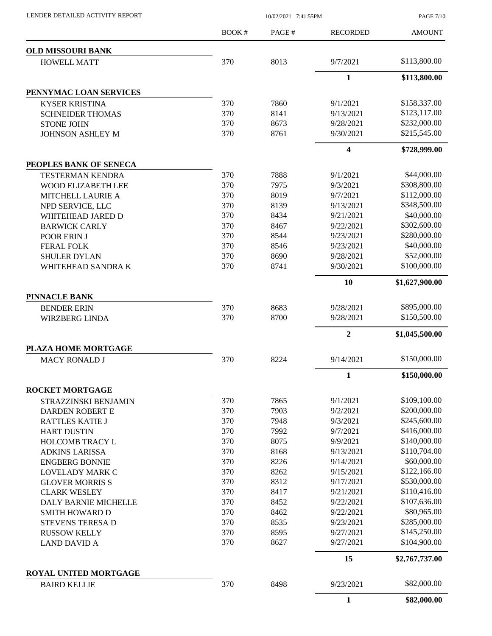|                          | <b>BOOK#</b> | PAGE# | <b>RECORDED</b>  | <b>AMOUNT</b>  |
|--------------------------|--------------|-------|------------------|----------------|
| <b>OLD MISSOURI BANK</b> |              |       |                  |                |
| <b>HOWELL MATT</b>       | 370          | 8013  | 9/7/2021         | \$113,800.00   |
|                          |              |       | $\mathbf{1}$     | \$113,800.00   |
| PENNYMAC LOAN SERVICES   |              |       |                  |                |
| <b>KYSER KRISTINA</b>    | 370          | 7860  | 9/1/2021         | \$158,337.00   |
| <b>SCHNEIDER THOMAS</b>  | 370          | 8141  | 9/13/2021        | \$123,117.00   |
| <b>STONE JOHN</b>        | 370          | 8673  | 9/28/2021        | \$232,000.00   |
| <b>JOHNSON ASHLEY M</b>  | 370          | 8761  | 9/30/2021        | \$215,545.00   |
|                          |              |       | 4                | \$728,999.00   |
| PEOPLES BANK OF SENECA   |              |       |                  |                |
| <b>TESTERMAN KENDRA</b>  | 370          | 7888  | 9/1/2021         | \$44,000.00    |
| WOOD ELIZABETH LEE       | 370          | 7975  | 9/3/2021         | \$308,800.00   |
| MITCHELL LAURIE A        | 370          | 8019  | 9/7/2021         | \$112,000.00   |
| NPD SERVICE, LLC         | 370          | 8139  | 9/13/2021        | \$348,500.00   |
| WHITEHEAD JARED D        | 370          | 8434  | 9/21/2021        | \$40,000.00    |
| <b>BARWICK CARLY</b>     | 370          | 8467  | 9/22/2021        | \$302,600.00   |
| POOR ERIN J              | 370          | 8544  | 9/23/2021        | \$280,000.00   |
| <b>FERAL FOLK</b>        | 370          | 8546  | 9/23/2021        | \$40,000.00    |
| <b>SHULER DYLAN</b>      | 370          | 8690  | 9/28/2021        | \$52,000.00    |
| WHITEHEAD SANDRA K       | 370          | 8741  | 9/30/2021        | \$100,000.00   |
|                          |              |       | 10               | \$1,627,900.00 |
| <b>PINNACLE BANK</b>     |              |       |                  |                |
| <b>BENDER ERIN</b>       | 370          | 8683  | 9/28/2021        | \$895,000.00   |
| <b>WIRZBERG LINDA</b>    | 370          | 8700  | 9/28/2021        | \$150,500.00   |
|                          |              |       | $\boldsymbol{2}$ | \$1,045,500.00 |
| PLAZA HOME MORTGAGE      |              |       |                  |                |
| <b>MACY RONALD J</b>     | 370          | 8224  | 9/14/2021        | \$150,000.00   |
|                          |              |       | 1                | \$150,000.00   |
| <b>ROCKET MORTGAGE</b>   |              |       |                  |                |
| STRAZZINSKI BENJAMIN     | 370          | 7865  | 9/1/2021         | \$109,100.00   |
| DARDEN ROBERT E          | 370          | 7903  | 9/2/2021         | \$200,000.00   |
| <b>RATTLES KATIE J</b>   | 370          | 7948  | 9/3/2021         | \$245,600.00   |
| <b>HART DUSTIN</b>       | 370          | 7992  | 9/7/2021         | \$416,000.00   |
| HOLCOMB TRACY L          | 370          | 8075  | 9/9/2021         | \$140,000.00   |
| <b>ADKINS LARISSA</b>    | 370          | 8168  | 9/13/2021        | \$110,704.00   |
| <b>ENGBERG BONNIE</b>    | 370          | 8226  | 9/14/2021        | \$60,000.00    |
| LOVELADY MARK C          | 370          | 8262  | 9/15/2021        | \$122,166.00   |
| <b>GLOVER MORRIS S</b>   | 370          | 8312  | 9/17/2021        | \$530,000.00   |
| <b>CLARK WESLEY</b>      | 370          | 8417  | 9/21/2021        | \$110,416.00   |
| DALY BARNIE MICHELLE     | 370          | 8452  | 9/22/2021        | \$107,636.00   |
| <b>SMITH HOWARD D</b>    | 370          | 8462  | 9/22/2021        | \$80,965.00    |
| STEVENS TERESA D         | 370          | 8535  | 9/23/2021        | \$285,000.00   |
| <b>RUSSOW KELLY</b>      | 370          | 8595  | 9/27/2021        | \$145,250.00   |
| <b>LAND DAVID A</b>      | 370          | 8627  | 9/27/2021        | \$104,900.00   |
|                          |              |       | 15               | \$2,767,737.00 |
| ROYAL UNITED MORTGAGE    |              |       |                  |                |
| <b>BAIRD KELLIE</b>      | 370          | 8498  | 9/23/2021        | \$82,000.00    |
|                          |              |       | $\mathbf{1}$     | \$82,000.00    |

LENDER DETAILED ACTIVITY REPORT 10/02/2021 7:41:55PM

PAGE 7/10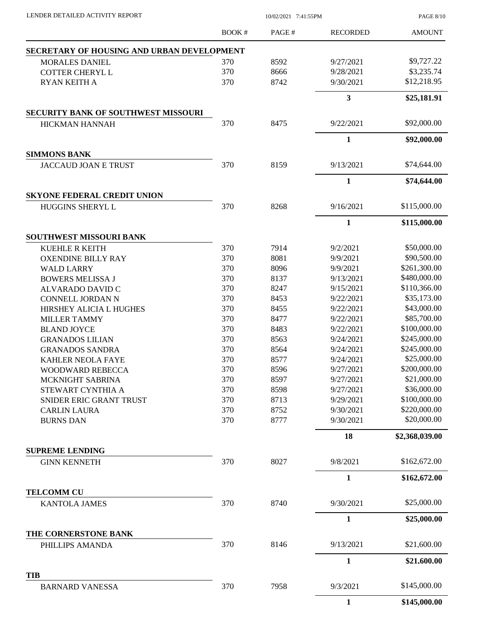| LENDER DETAILED ACTIVITY REPORT                               | 10/02/2021 7:41:55PM |       |                 | <b>PAGE 8/10</b> |
|---------------------------------------------------------------|----------------------|-------|-----------------|------------------|
|                                                               | <b>BOOK#</b>         | PAGE# | <b>RECORDED</b> | <b>AMOUNT</b>    |
| SECRETARY OF HOUSING AND URBAN DEVELOPMENT                    |                      |       |                 |                  |
| <b>MORALES DANIEL</b>                                         | 370                  | 8592  | 9/27/2021       | \$9,727.22       |
| <b>COTTER CHERYL L</b>                                        | 370                  | 8666  | 9/28/2021       | \$3,235.74       |
| RYAN KEITH A                                                  | 370                  | 8742  | 9/30/2021       | \$12,218.95      |
|                                                               |                      |       | $\mathbf{3}$    | \$25,181.91      |
| <b>SECURITY BANK OF SOUTHWEST MISSOURI</b>                    |                      |       |                 |                  |
| HICKMAN HANNAH                                                | 370                  | 8475  | 9/22/2021       | \$92,000.00      |
|                                                               |                      |       | $\mathbf{1}$    | \$92,000.00      |
| <b>SIMMONS BANK</b>                                           |                      |       |                 |                  |
| <b>JACCAUD JOAN E TRUST</b>                                   | 370                  | 8159  | 9/13/2021       | \$74,644.00      |
|                                                               |                      |       | $\mathbf{1}$    | \$74,644.00      |
| <b>SKYONE FEDERAL CREDIT UNION</b><br><b>HUGGINS SHERYL L</b> | 370                  | 8268  | 9/16/2021       | \$115,000.00     |
|                                                               |                      |       |                 |                  |
|                                                               |                      |       | $\mathbf{1}$    | \$115,000.00     |
| <b>SOUTHWEST MISSOURI BANK</b><br>KUEHLE R KEITH              | 370                  | 7914  | 9/2/2021        | \$50,000.00      |
| <b>OXENDINE BILLY RAY</b>                                     | 370                  | 8081  | 9/9/2021        | \$90,500.00      |
| <b>WALD LARRY</b>                                             | 370                  | 8096  | 9/9/2021        | \$261,300.00     |
| <b>BOWERS MELISSA J</b>                                       | 370                  | 8137  | 9/13/2021       | \$480,000.00     |
| ALVARADO DAVID C                                              | 370                  | 8247  | 9/15/2021       | \$110,366.00     |
| CONNELL JORDAN N                                              | 370                  | 8453  | 9/22/2021       | \$35,173.00      |
| HIRSHEY ALICIA L HUGHES                                       | 370                  | 8455  | 9/22/2021       | \$43,000.00      |
| <b>MILLER TAMMY</b>                                           | 370                  | 8477  | 9/22/2021       | \$85,700.00      |
| <b>BLAND JOYCE</b>                                            | 370                  | 8483  | 9/22/2021       | \$100,000.00     |
| <b>GRANADOS LILIAN</b>                                        | 370                  | 8563  | 9/24/2021       | \$245,000.00     |
| <b>GRANADOS SANDRA</b>                                        | 370                  | 8564  | 9/24/2021       | \$245,000.00     |
| <b>KAHLER NEOLA FAYE</b>                                      | 370                  | 8577  | 9/24/2021       | \$25,000.00      |
| WOODWARD REBECCA                                              | 370                  | 8596  | 9/27/2021       | \$200,000.00     |
| MCKNIGHT SABRINA                                              | 370                  | 8597  | 9/27/2021       | \$21,000.00      |
| STEWART CYNTHIA A                                             | 370                  | 8598  | 9/27/2021       | \$36,000.00      |
| SNIDER ERIC GRANT TRUST                                       | 370                  | 8713  | 9/29/2021       | \$100,000.00     |
| <b>CARLIN LAURA</b>                                           | 370                  | 8752  | 9/30/2021       | \$220,000.00     |
| <b>BURNS DAN</b>                                              | 370                  | 8777  | 9/30/2021       | \$20,000.00      |
|                                                               |                      |       | 18              | \$2,368,039.00   |
| <b>SUPREME LENDING</b>                                        |                      |       |                 |                  |
| <b>GINN KENNETH</b>                                           | 370                  | 8027  | 9/8/2021        | \$162,672.00     |
|                                                               |                      |       | $\mathbf{1}$    | \$162,672.00     |
| <b>TELCOMM CU</b>                                             |                      |       |                 |                  |
| <b>KANTOLA JAMES</b>                                          | 370                  | 8740  | 9/30/2021       | \$25,000.00      |
|                                                               |                      |       | $\mathbf{1}$    | \$25,000.00      |
| THE CORNERSTONE BANK                                          |                      |       |                 | \$21,600.00      |
| PHILLIPS AMANDA                                               | 370                  | 8146  | 9/13/2021       |                  |
|                                                               |                      |       | 1               | \$21,600.00      |
| <b>TIB</b><br><b>BARNARD VANESSA</b>                          | 370                  | 7958  | 9/3/2021        | \$145,000.00     |
|                                                               |                      |       | $\mathbf{1}$    | \$145,000.00     |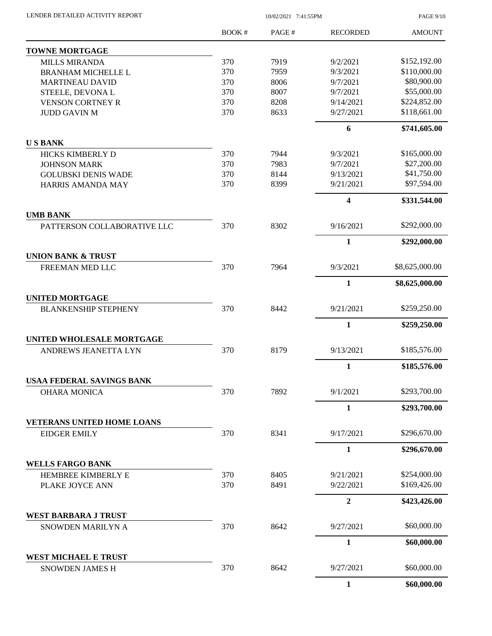| LENDER DETAILED ACTIVITY REPORT |  |
|---------------------------------|--|
|                                 |  |

10/02/2021 7:41:55PM

PAGE 9/10

|                                   | BOOK# | PAGE# | <b>RECORDED</b> | <b>AMOUNT</b>  |
|-----------------------------------|-------|-------|-----------------|----------------|
| <b>TOWNE MORTGAGE</b>             |       |       |                 |                |
| <b>MILLS MIRANDA</b>              | 370   | 7919  | 9/2/2021        | \$152,192.00   |
| <b>BRANHAM MICHELLE L</b>         | 370   | 7959  | 9/3/2021        | \$110,000.00   |
| <b>MARTINEAU DAVID</b>            | 370   | 8006  | 9/7/2021        | \$80,900.00    |
| STEELE, DEVONAL                   | 370   | 8007  | 9/7/2021        | \$55,000.00    |
| <b>VENSON CORTNEY R</b>           | 370   | 8208  | 9/14/2021       | \$224,852.00   |
| <b>JUDD GAVIN M</b>               | 370   | 8633  | 9/27/2021       | \$118,661.00   |
|                                   |       |       | 6               | \$741,605.00   |
| <b>USBANK</b>                     |       |       |                 |                |
| HICKS KIMBERLY D                  | 370   | 7944  | 9/3/2021        | \$165,000.00   |
| <b>JOHNSON MARK</b>               | 370   | 7983  | 9/7/2021        | \$27,200.00    |
| <b>GOLUBSKI DENIS WADE</b>        | 370   | 8144  | 9/13/2021       | \$41,750.00    |
| HARRIS AMANDA MAY                 | 370   | 8399  | 9/21/2021       | \$97,594.00    |
|                                   |       |       | 4               | \$331,544.00   |
| <b>UMB BANK</b>                   |       |       |                 |                |
| PATTERSON COLLABORATIVE LLC       | 370   | 8302  | 9/16/2021       | \$292,000.00   |
|                                   |       |       | $\mathbf{1}$    | \$292,000.00   |
| <b>UNION BANK &amp; TRUST</b>     |       |       |                 |                |
| FREEMAN MED LLC                   | 370   | 7964  | 9/3/2021        | \$8,625,000.00 |
|                                   |       |       | $\mathbf{1}$    | \$8,625,000.00 |
| <b>UNITED MORTGAGE</b>            |       |       |                 |                |
| <b>BLANKENSHIP STEPHENY</b>       | 370   | 8442  | 9/21/2021       | \$259,250.00   |
|                                   |       |       | $\mathbf{1}$    | \$259,250.00   |
| <b>UNITED WHOLESALE MORTGAGE</b>  |       |       |                 |                |
| ANDREWS JEANETTA LYN              | 370   | 8179  | 9/13/2021       | \$185,576.00   |
|                                   |       |       | $\mathbf{1}$    | \$185,576.00   |
| USAA FEDERAL SAVINGS BANK         |       |       |                 |                |
| <b>OHARA MONICA</b>               | 370   | 7892  | 9/1/2021        | \$293,700.00   |
|                                   |       |       | $\mathbf{1}$    | \$293,700.00   |
| <b>VETERANS UNITED HOME LOANS</b> |       |       |                 |                |
| <b>EIDGER EMILY</b>               | 370   | 8341  | 9/17/2021       | \$296,670.00   |
|                                   |       |       | $\mathbf{1}$    | \$296,670.00   |
| <b>WELLS FARGO BANK</b>           |       |       |                 |                |
| HEMBREE KIMBERLY E                | 370   | 8405  | 9/21/2021       | \$254,000.00   |
| PLAKE JOYCE ANN                   | 370   | 8491  | 9/22/2021       | \$169,426.00   |
|                                   |       |       | $\overline{2}$  | \$423,426.00   |
| <b>WEST BARBARA J TRUST</b>       |       |       |                 |                |
| SNOWDEN MARILYN A                 | 370   | 8642  | 9/27/2021       | \$60,000.00    |
|                                   |       |       | $\mathbf{1}$    | \$60,000.00    |
| <b>WEST MICHAEL E TRUST</b>       |       |       |                 |                |
| SNOWDEN JAMES H                   | 370   | 8642  | 9/27/2021       | \$60,000.00    |
|                                   |       |       | $\mathbf{1}$    | \$60,000.00    |